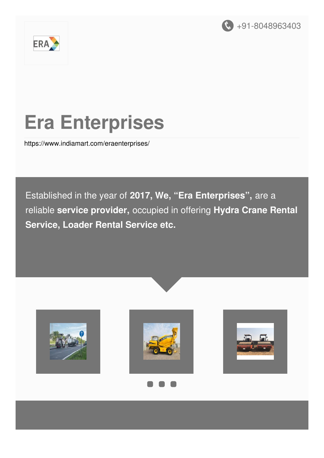



# **Era Enterprises**

<https://www.indiamart.com/eraenterprises/>

Established in the year of **2017, We, "Era Enterprises" ,** are a reliable **service provider,** occupied in offering **Hydra Crane Rental Service, Loader Rental Service etc.**









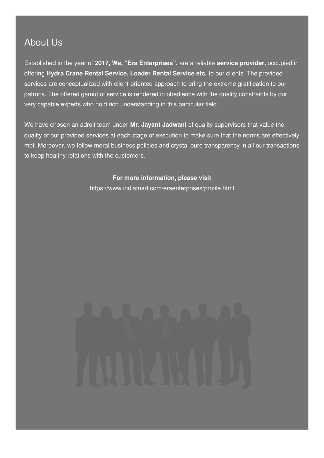### About Us

Established in the year of **2017, We, "Era Enterprises",** are a reliable **service provider,** occupied in offering **Hydra Crane Rental Service, Loader Rental Service etc.** to our clients. The provided services are conceptualized with client-oriented approach to bring the extreme gratification to our patrons. The offered gamut of service is rendered in obedience with the quality constraints by our very capable experts who hold rich understanding in this particular field.

We have chosen an adroit team under **Mr. Jayant Jadwani** of quality supervisors that value the quality of our provided services at each stage of execution to make sure that the norms are effectively met. Moreover, we follow moral business policies and crystal pure transparency in all our transactions to keep healthy relations with the customers.

#### **For more information, please visit**

<https://www.indiamart.com/eraenterprises/profile.html>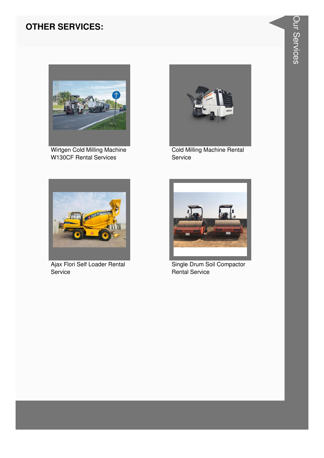#### **OTHER SERVICES:**



Wirtgen Cold Milling Machine W130CF Rental Services



**Cold Milling Machine Rental** Service



Ajax Flori Self Loader Rental Service



Single Drum Soil Compactor Rental Service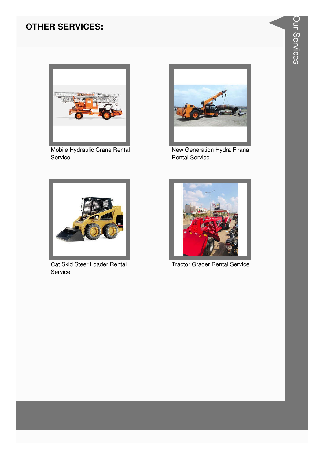#### **OTHER SERVICES:**



Mobile Hydraulic Crane Rental Service



New Generation Hydra Firana **Rental Service** 



**Cat Skid Steer Loader Rental** Service



**Tractor Grader Rental Service**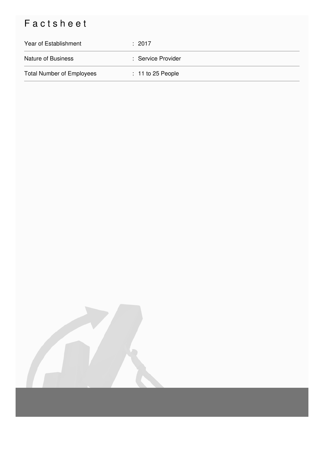## Factsheet

| Year of Establishment            | : 2017              |
|----------------------------------|---------------------|
| <b>Nature of Business</b>        | : Service Provider  |
| <b>Total Number of Employees</b> | $: 11$ to 25 People |